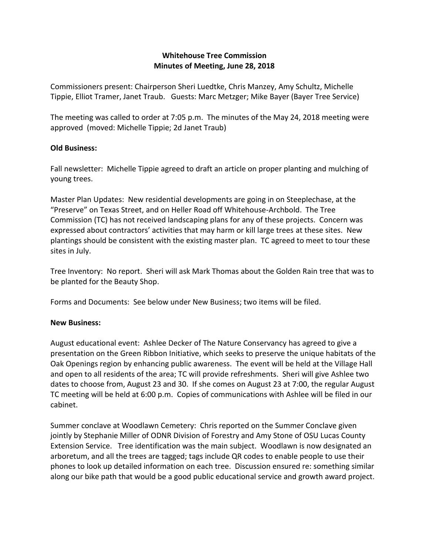## **Whitehouse Tree Commission Minutes of Meeting, June 28, 2018**

Commissioners present: Chairperson Sheri Luedtke, Chris Manzey, Amy Schultz, Michelle Tippie, Elliot Tramer, Janet Traub. Guests: Marc Metzger; Mike Bayer (Bayer Tree Service)

The meeting was called to order at 7:05 p.m. The minutes of the May 24, 2018 meeting were approved (moved: Michelle Tippie; 2d Janet Traub)

## **Old Business:**

Fall newsletter: Michelle Tippie agreed to draft an article on proper planting and mulching of young trees.

Master Plan Updates: New residential developments are going in on Steeplechase, at the "Preserve" on Texas Street, and on Heller Road off Whitehouse-Archbold. The Tree Commission (TC) has not received landscaping plans for any of these projects. Concern was expressed about contractors' activities that may harm or kill large trees at these sites. New plantings should be consistent with the existing master plan. TC agreed to meet to tour these sites in July.

Tree Inventory: No report. Sheri will ask Mark Thomas about the Golden Rain tree that was to be planted for the Beauty Shop.

Forms and Documents: See below under New Business; two items will be filed.

## **New Business:**

August educational event: Ashlee Decker of The Nature Conservancy has agreed to give a presentation on the Green Ribbon Initiative, which seeks to preserve the unique habitats of the Oak Openings region by enhancing public awareness. The event will be held at the Village Hall and open to all residents of the area; TC will provide refreshments. Sheri will give Ashlee two dates to choose from, August 23 and 30. If she comes on August 23 at 7:00, the regular August TC meeting will be held at 6:00 p.m. Copies of communications with Ashlee will be filed in our cabinet.

Summer conclave at Woodlawn Cemetery: Chris reported on the Summer Conclave given jointly by Stephanie Miller of ODNR Division of Forestry and Amy Stone of OSU Lucas County Extension Service. Tree identification was the main subject. Woodlawn is now designated an arboretum, and all the trees are tagged; tags include QR codes to enable people to use their phones to look up detailed information on each tree. Discussion ensured re: something similar along our bike path that would be a good public educational service and growth award project.